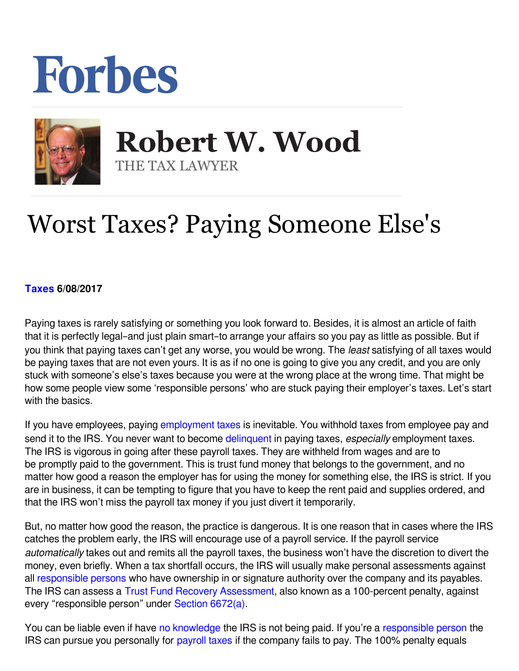## **Forbes**



 **Robert W. Wood** THE TAX LAWYER

## Worst Taxes? Paying Someone Else's

## **[Taxes](https://www.forbes.com/taxes) 6/08/2017**

Paying taxes is rarely satisfying or something you look forward to. Besides, it is almost an article of faith that it is perfectly legal–and just plain smart–to arrange your affairs so you pay as little as possible. But if you think that paying taxes can't get any worse, you would be wrong. The *least* satisfying of all taxes would be paying taxes that are not even yours. It is as if no one is going to give you any credit, and you are only stuck with someone's else's taxes because you were at the wrong place at the wrong time. That might be how some people view some 'responsible persons' who are stuck paying their employer's taxes. Let's start with the basics.

If you have employees, paying [employment taxes](http://blogs-images.forbes.com/robertwood/2011/04/12/irs-nightmare-what-employment-taxes/) is inevitable. You withhold taxes from employee pay and sendit to the IRS. You never want to become [delinquent](http://blogs-images.forbes.com/robertwood/2011/02/04/with-taxes-responsible-means-holding-the-bag/) in paying taxes, especially employment taxes. The IRS is vigorous in going after these payroll taxes. They are withheld from wages and are to be promptly paid to the government. This is trust fund money that belongs to the government, and no matter how good a reason the employer has for using the money for something else, the IRS is strict. If you are in business, it can be tempting to figure that you have to keep the rent paid and supplies ordered, and that the IRS won't miss the payroll tax money if you just divert it temporarily.

But, no matter how good the reason, the practice is dangerous. It is one reason that in cases where the IRS catches the problem early, the IRS will encourage use of a payroll service. If the payroll service *automatically* takes out and remits all the payroll taxes, the business won't have the discretion to divert the money, even briefly. When a tax shortfall occurs, the IRS will usually make personal assessments against all [responsible persons](http://blogs-images.forbes.com/robertwood/2011/03/11/irs-responsible-person-label-hurts/) who have ownership in or signature authority over the company and its payables. The IRS can assess a [Trust Fund Recovery Assessment,](http://www.irs.gov/businesses/small/article/0,,id=108357,00.html) also known as a 100-percent penalty, against every "responsible person" under [Section 6672\(a\)](http://www.taxalmanac.org/index.php/Internal_Revenue_Code:Sec._6672._Failure_to_collect_and_pay_over_tax,_or_attempt_to_evade_or_defeat_tax).

You can be liable even if have [no knowledge](http://www.irs.gov/businesses/small/international/article/0,,id=106261,00.html) the IRS is not being paid. If you're a [responsible person](http://www.forbes.com/sites/robertwood/2011/03/11/irs-responsible-person-label-hurts/) the IRS can pursue you personally for [payroll taxes](http://www.irs.gov/businesses/small/article/0,,id=172179,00.html) if the company fails to pay. The 100% penalty equals